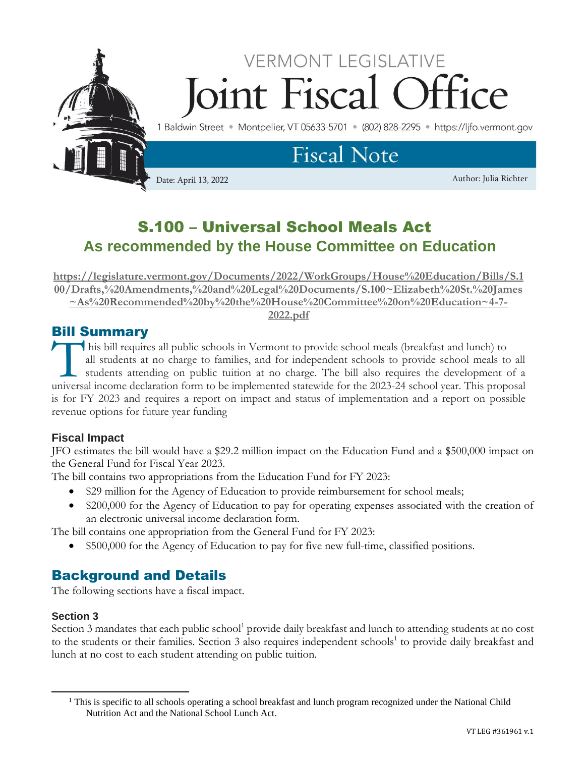

# S.100 – Universal School Meals Act **As recommended by the House Committee on Education**

**[https://legislature.vermont.gov/Documents/2022/WorkGroups/House%20Education/Bills/S.1](https://legislature.vermont.gov/Documents/2022/WorkGroups/House%20Education/Bills/S.100/Drafts,%20Amendments,%20and%20Legal%20Documents/S.100~Elizabeth%20St.%20James~As%20Recommended%20by%20the%20House%20Committee%20on%20Education~4-7-2022.pdf) [00/Drafts,%20Amendments,%20and%20Legal%20Documents/S.100~Elizabeth%20St.%20James](https://legislature.vermont.gov/Documents/2022/WorkGroups/House%20Education/Bills/S.100/Drafts,%20Amendments,%20and%20Legal%20Documents/S.100~Elizabeth%20St.%20James~As%20Recommended%20by%20the%20House%20Committee%20on%20Education~4-7-2022.pdf) [~As%20Recommended%20by%20the%20House%20Committee%20on%20Education~4-7-](https://legislature.vermont.gov/Documents/2022/WorkGroups/House%20Education/Bills/S.100/Drafts,%20Amendments,%20and%20Legal%20Documents/S.100~Elizabeth%20St.%20James~As%20Recommended%20by%20the%20House%20Committee%20on%20Education~4-7-2022.pdf) [2022.pdf](https://legislature.vermont.gov/Documents/2022/WorkGroups/House%20Education/Bills/S.100/Drafts,%20Amendments,%20and%20Legal%20Documents/S.100~Elizabeth%20St.%20James~As%20Recommended%20by%20the%20House%20Committee%20on%20Education~4-7-2022.pdf)**

### Bill Summary

his bill requires all public schools in Vermont to provide school meals (breakfast and lunch) to all students at no charge to families, and for independent schools to provide school meals to all students attending on public tuition at no charge. The bill also requires the development of a This bill requires all public schools in Vermont to provide school meals (breakfast and lunch) to all students at no charge to families, and for independent schools to provide school meals to all students attending on publ is for FY 2023 and requires a report on impact and status of implementation and a report on possible revenue options for future year funding

### **Fiscal Impact**

JFO estimates the bill would have a \$29.2 million impact on the Education Fund and a \$500,000 impact on the General Fund for Fiscal Year 2023.

The bill contains two appropriations from the Education Fund for FY 2023:

- \$29 million for the Agency of Education to provide reimbursement for school meals;
- \$200,000 for the Agency of Education to pay for operating expenses associated with the creation of an electronic universal income declaration form.

The bill contains one appropriation from the General Fund for FY 2023:

• \$500,000 for the Agency of Education to pay for five new full-time, classified positions.

## Background and Details

The following sections have a fiscal impact.

### **Section 3**

Section 3 mandates that each public school<sup>1</sup> provide daily breakfast and lunch to attending students at no cost to the students or their families. Section 3 also requires independent schools<sup>1</sup> to provide daily breakfast and lunch at no cost to each student attending on public tuition.

<sup>&</sup>lt;sup>1</sup> This is specific to all schools operating a school breakfast and lunch program recognized under the National Child Nutrition Act and the National School Lunch Act.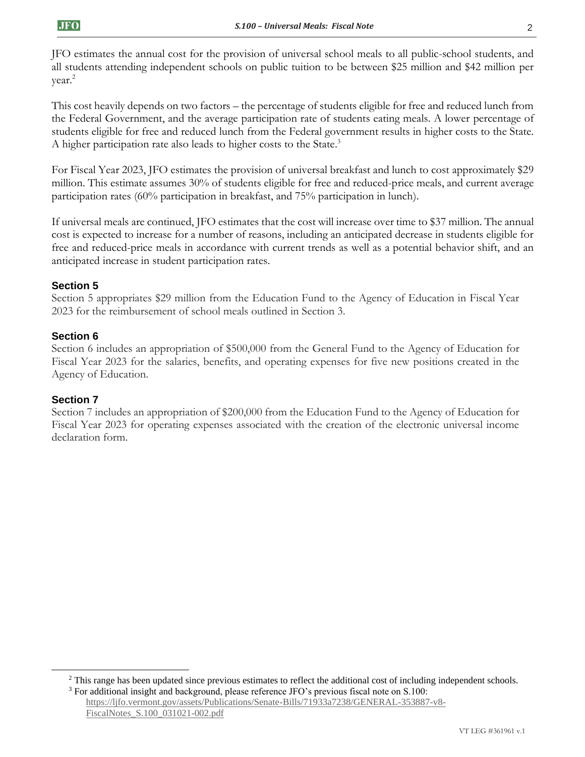JFO estimates the annual cost for the provision of universal school meals to all public-school students, and all students attending independent schools on public tuition to be between \$25 million and \$42 million per year.<sup>2</sup>

This cost heavily depends on two factors – the percentage of students eligible for free and reduced lunch from the Federal Government, and the average participation rate of students eating meals. A lower percentage of students eligible for free and reduced lunch from the Federal government results in higher costs to the State. A higher participation rate also leads to higher costs to the State.<sup>3</sup>

For Fiscal Year 2023, JFO estimates the provision of universal breakfast and lunch to cost approximately \$29 million. This estimate assumes 30% of students eligible for free and reduced-price meals, and current average participation rates (60% participation in breakfast, and 75% participation in lunch).

If universal meals are continued, JFO estimates that the cost will increase over time to \$37 million. The annual cost is expected to increase for a number of reasons, including an anticipated decrease in students eligible for free and reduced-price meals in accordance with current trends as well as a potential behavior shift, and an anticipated increase in student participation rates.

### **Section 5**

Section 5 appropriates \$29 million from the Education Fund to the Agency of Education in Fiscal Year 2023 for the reimbursement of school meals outlined in Section 3.

#### **Section 6**

Section 6 includes an appropriation of \$500,000 from the General Fund to the Agency of Education for Fiscal Year 2023 for the salaries, benefits, and operating expenses for five new positions created in the Agency of Education.

#### **Section 7**

Section 7 includes an appropriation of \$200,000 from the Education Fund to the Agency of Education for Fiscal Year 2023 for operating expenses associated with the creation of the electronic universal income declaration form.

[https://ljfo.vermont.gov/assets/Publications/Senate-Bills/71933a7238/GENERAL-353887-v8-](https://ljfo.vermont.gov/assets/Publications/Senate-Bills/71933a7238/GENERAL-353887-v8-FiscalNotes_S.100_031021-002.pdf) [FiscalNotes\\_S.100\\_031021-002.pdf](https://ljfo.vermont.gov/assets/Publications/Senate-Bills/71933a7238/GENERAL-353887-v8-FiscalNotes_S.100_031021-002.pdf)

<sup>&</sup>lt;sup>2</sup> This range has been updated since previous estimates to reflect the additional cost of including independent schools. <sup>3</sup> For additional insight and background, please reference JFO's previous fiscal note on S.100: